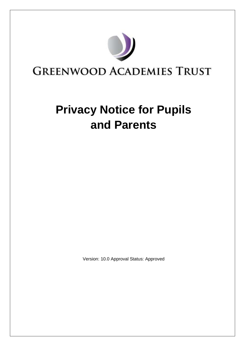

# **Privacy Notice for Pupils and Parents**

Version: 10.0 Approval Status: Approved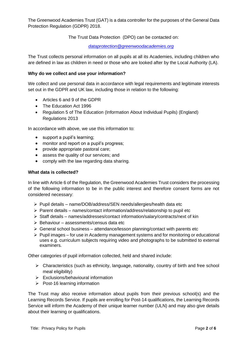The Greenwood Academies Trust (GAT) is a data controller for the purposes of the General Data Protection Regulation (GDPR) 2018.

The Trust Data Protection (DPO) can be contacted on:

*[dataprotection@greenwoodacademies.org](mailto:dataprotection@greenwoodacademies.org)*

The Trust collects personal information on all pupils at all its Academies, including children who are defined in law as children in need or those who are looked after by the Local Authority (LA).

#### **Why do we collect and use your information?**

We collect and use personal data in accordance with legal requirements and legitimate interests set out in the GDPR and UK law, including those in relation to the following:

- Articles 6 and 9 of the GDPR
- The Education Act 1996
- Regulation 5 of The Education (Information About Individual Pupils) (England) Regulations 2013

In accordance with above, we use this information to:

- support a pupil's learning;
- monitor and report on a pupil's progress;
- provide appropriate pastoral care;
- assess the quality of our services; and
- comply with the law regarding data sharing.

#### **What data is collected?**

In line with Article 6 of the Regulation, the Greenwood Academies Trust considers the processing of the following information to be in the public interest and therefore consent forms are not considered necessary:

- ➢ Pupil details name/DOB/address/SEN needs/allergies/health data etc
- $\triangleright$  Parent details names/contact information/address/relationship to pupil etc
- ➢ Staff details names/addresses/contact information/salary/contracts/next of kin
- $\triangleright$  Behaviour assessments/census data etc
- $\triangleright$  General school business attendance/lesson planning/contact with parents etc
- $\triangleright$  Pupil images for use in Academy management systems and for monitoring or educational uses e.g. curriculum subjects requiring video and photographs to be submitted to external examiners.

Other categories of pupil information collected, held and shared include:

- ➢ Characteristics (such as ethnicity, language, nationality, country of birth and free school meal eligibility)
- ➢ Exclusions/behavioural information
- ➢ Post-16 learning information

The Trust may also receive information about pupils from their previous school(s) and the Learning Records Service. If pupils are enrolling for Post-14 qualifications, the Learning Records Service will inform the Academy of their unique learner number (ULN) and may also give details about their learning or qualifications.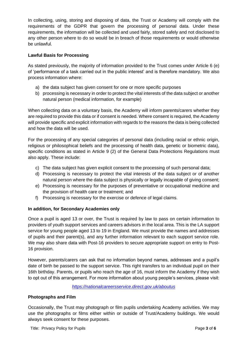In collecting, using, storing and disposing of data, the Trust or Academy will comply with the requirements of the GDPR that govern the processing of personal data. Under these requirements, the information will be collected and used fairly, stored safely and not disclosed to any other person where to do so would be in breach of those requirements or would otherwise be unlawful.

## **Lawful Basis for Processing**

As stated previously, the majority of information provided to the Trust comes under Article 6 (e) of 'performance of a task carried out in the public interest' and is therefore mandatory. We also process information where:

- a) the data subject has given consent for one or more specific purposes
- b) processing is necessary in order to protect the vital interests of the data subject or another natural person (medical information, for example)

When collecting data on a voluntary basis, the Academy will inform parents/carers whether they are required to provide this data or if consent is needed. Where consent is required, the Academy will provide specific and explicit information with regards to the reasons the data is being collected and how the data will be used.

For the processing of any special categories of personal data (including racial or ethnic origin, religious or philosophical beliefs and the processing of health data, genetic or biometric data), specific conditions as stated in Article 9 (2) of the General Data Protections Regulations must also apply. These include:

- c) The data subject has given explicit consent to the processing of such personal data;
- d) Processing is necessary to protect the vital interests of the data subject or of another natural person where the data subject is physically or legally incapable of giving consent;
- e) Processing is necessary for the purposes of preventative or occupational medicine and the provision of health care or treatment; and
- f) Processing is necessary for the exercise or defence of legal claims.

#### **In addition, for Secondary Academies only**

Once a pupil is aged 13 or over, the Trust is required by law to pass on certain information to providers of youth support services and careers advisors in the local area. This is the LA support service for young people aged 13 to 19 in England. We must provide the names and addresses of pupils and their parent(s), and any further information relevant to each support service role. We may also share data with Post-16 providers to secure appropriate support on entry to Post-16 provision.

However, parents/carers can ask that no information beyond names, addresses and a pupil's date of birth be passed to the support service. This right transfers to an individual pupil on their 16th birthday. Parents, or pupils who reach the age of 16, must inform the Academy if they wish to opt out of this arrangement. For more information about young people's services, please visit:

#### *<https://nationalcareersservice.direct.gov.uk/aboutus>*

#### **Photographs and Film**

Occasionally, the Trust may photograph or film pupils undertaking Academy activities. We may use the photographs or films either within or outside of Trust/Academy buildings. We would always seek consent for these purposes.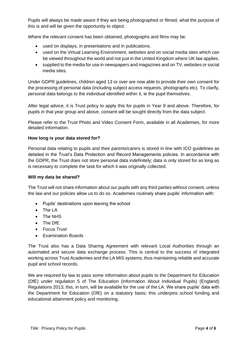Pupils will always be made aware if they are being photographed or filmed, what the purpose of this is and will be given the opportunity to object.

Where the relevant consent has been obtained, photographs and films may be:

- used on displays, in presentations and in publications.
- used on the Virtual Learning Environment, websites and on social media sites which can be viewed throughout the world and not just in the United Kingdom where UK law applies.
- supplied to the media for use in newspapers and magazines and on TV, websites or social media sites.

Under GDPR guidelines, children aged 13 or over are now able to provide their own consent for the processing of personal data (including subject access requests, photographs etc). To clarify, personal data belongs to the individual identified within it, ie the pupil themselves.

After legal advice, it is Trust policy to apply this for pupils in Year 9 and above. Therefore, for pupils in that year group and above, consent will be sought directly from the data subject.

Please refer to the Trust Photo and Video Consent Form, available in all Academies, for more detailed information.

#### **How long is your data stored for?**

Personal data relating to pupils and their parents/carers is stored in line with ICO guidelines as detailed in the Trust's Data Protection and Record Managements policies. In accordance with the GDPR, the Trust does not store personal data indefinitely; data is only stored for as long as is necessary to complete the task for which it was originally collected.

#### **Will my data be shared?**

The Trust will not share information about our pupils with any third parties without consent, unless the law and our policies allow us to do so. Academies routinely share pupils' information with:

- Pupils' destinations upon leaving the school
- The LA
- The NHS
- The DfE
- Focus Trust
- Examination Boards

The Trust also has a Data Sharing Agreement with relevant Local Authorities through an automated and secure data exchange process. This is central to the success of integrated working across Trust Academies and the LA MIS systems, thus maintaining reliable and accurate pupil and school records.

We are required by law to pass some information about pupils to the Department for Education (DfE) under regulation 5 of The Education (Information About Individual Pupils) (England) Regulations 2013; this, in turn, will be available for the use of the LA. We share pupils' data with the Department for Education (DfE) on a statutory basis; this underpins school funding and educational attainment policy and monitoring.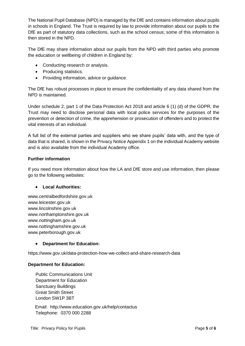The National Pupil Database (NPD) is managed by the DfE and contains information about pupils in schools in England. The Trust is required by law to provide information about our pupils to the DfE as part of statutory data collections, such as the school census; some of this information is then stored in the NPD.

The DfE may share information about our pupils from the NPD with third parties who promote the education or wellbeing of children in England by:

- Conducting research or analysis.
- Producing statistics.
- Providing information, advice or guidance.

The DfE has robust processes in place to ensure the confidentiality of any data shared from the NPD is maintained.

Under schedule 2, part 1 of the Data Protection Act 2018 and article 6 (1) (d) of the GDPR, the Trust may need to disclose personal data with local police services for the purposes of the prevention or detection of crime, the apprehension or prosecution of offenders and to protect the vital interests of an individual.

A full list of the external parties and suppliers who we share pupils' data with, and the type of data that is shared, is shown in the Privacy Notice Appendix 1 on the individual Academy website and is also available from the individual Academy office.

## **Further information**

If you need more information about how the LA and DfE store and use information, then please go to the following websites:

#### • **Local Authorities:**

www.centralbedfordshire.gov.uk www.leicester.gov.uk www.lincolnshire.gov.uk www.northamptonshire.gov.uk www.nottingham.gov.uk www.nottinghamshire.gov.uk www.peterborough.gov.uk

# • **Department for Education:**

https://www.gov.uk/data-protection-how-we-collect-and-share-research-data

#### **Department for Education:**

 Public Communications Unit Department for Education Sanctuary Buildings Great Smith Street London SW1P 3BT

Email: http://www.education.gov.uk/help/contactus Telephone: 0370 000 2288